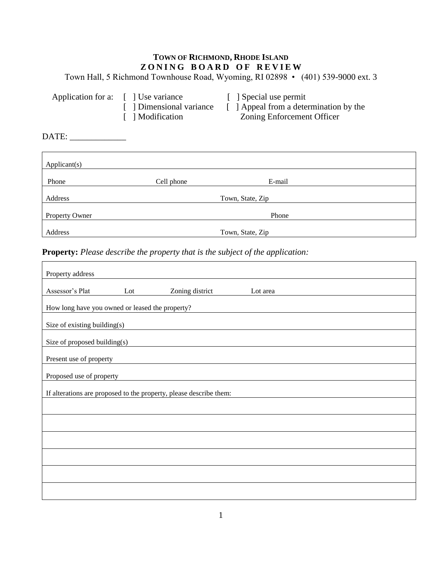## **TOWN OF RICHMOND, RHODE ISLAND Z O N I N G B O A R D O F R E V I E W**

Town Hall, 5 Richmond Townhouse Road, Wyoming, RI 02898 • (401) 539-9000 ext. 3

| Application for a: [] Use variance |                          | [ Special use permit                   |
|------------------------------------|--------------------------|----------------------------------------|
|                                    | [ ] Dimensional variance | [ ] Appeal from a determination by the |
|                                    | [ ] Modification         | Zoning Enforcement Officer             |

DATE: \_\_\_\_\_\_\_\_\_\_\_\_\_

| Applicant(s)          |            |                  |  |
|-----------------------|------------|------------------|--|
| Phone                 | Cell phone | E-mail           |  |
| Address               |            | Town, State, Zip |  |
| <b>Property Owner</b> |            | Phone            |  |
| Address               |            | Town, State, Zip |  |

**Property:** *Please describe the property that is the subject of the application:*

| Property address                                                   |                                                 |                 |          |  |  |
|--------------------------------------------------------------------|-------------------------------------------------|-----------------|----------|--|--|
| Assessor's Plat                                                    | Lot                                             | Zoning district | Lot area |  |  |
|                                                                    | How long have you owned or leased the property? |                 |          |  |  |
| Size of existing building(s)                                       |                                                 |                 |          |  |  |
| Size of proposed building(s)                                       |                                                 |                 |          |  |  |
| Present use of property                                            |                                                 |                 |          |  |  |
| Proposed use of property                                           |                                                 |                 |          |  |  |
| If alterations are proposed to the property, please describe them: |                                                 |                 |          |  |  |
|                                                                    |                                                 |                 |          |  |  |
|                                                                    |                                                 |                 |          |  |  |
|                                                                    |                                                 |                 |          |  |  |
|                                                                    |                                                 |                 |          |  |  |
|                                                                    |                                                 |                 |          |  |  |
|                                                                    |                                                 |                 |          |  |  |
|                                                                    |                                                 |                 |          |  |  |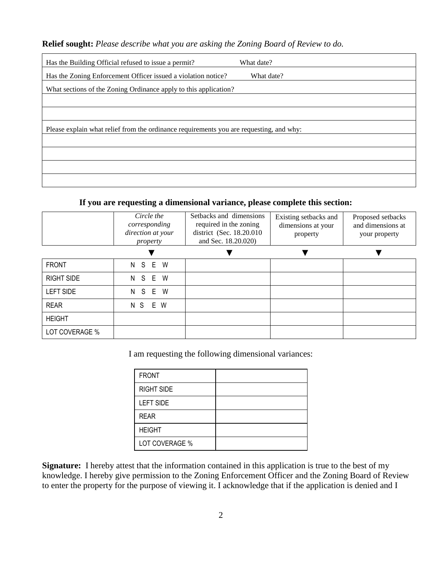**Relief sought:** *Please describe what you are asking the Zoning Board of Review to do.*

| Has the Building Official refused to issue a permit?<br>What date?                      |  |  |
|-----------------------------------------------------------------------------------------|--|--|
| Has the Zoning Enforcement Officer issued a violation notice?<br>What date?             |  |  |
| What sections of the Zoning Ordinance apply to this application?                        |  |  |
|                                                                                         |  |  |
|                                                                                         |  |  |
| Please explain what relief from the ordinance requirements you are requesting, and why: |  |  |
|                                                                                         |  |  |
|                                                                                         |  |  |
|                                                                                         |  |  |
|                                                                                         |  |  |

## **If you are requesting a dimensional variance, please complete this section:**

|                   | Circle the<br>corresponding<br>direction at your<br>property | Setbacks and dimensions<br>required in the zoning<br>district (Sec. 18.20.010)<br>and Sec. 18.20.020) | Existing setbacks and<br>dimensions at your<br>property | Proposed setbacks<br>and dimensions at<br>your property |
|-------------------|--------------------------------------------------------------|-------------------------------------------------------------------------------------------------------|---------------------------------------------------------|---------------------------------------------------------|
|                   |                                                              |                                                                                                       |                                                         |                                                         |
| <b>FRONT</b>      | N S E W                                                      |                                                                                                       |                                                         |                                                         |
| <b>RIGHT SIDE</b> | N S E W                                                      |                                                                                                       |                                                         |                                                         |
| LEFT SIDE         | E W<br>N<br>S                                                |                                                                                                       |                                                         |                                                         |
| <b>REAR</b>       | E W<br>N S                                                   |                                                                                                       |                                                         |                                                         |
| <b>HEIGHT</b>     |                                                              |                                                                                                       |                                                         |                                                         |
| LOT COVERAGE %    |                                                              |                                                                                                       |                                                         |                                                         |

I am requesting the following dimensional variances:

| <b>FRONT</b>      |  |
|-------------------|--|
| <b>RIGHT SIDE</b> |  |
| <b>LEFT SIDE</b>  |  |
| <b>REAR</b>       |  |
| <b>HEIGHT</b>     |  |
| LOT COVERAGE %    |  |

**Signature:** I hereby attest that the information contained in this application is true to the best of my knowledge. I hereby give permission to the Zoning Enforcement Officer and the Zoning Board of Review to enter the property for the purpose of viewing it. I acknowledge that if the application is denied and I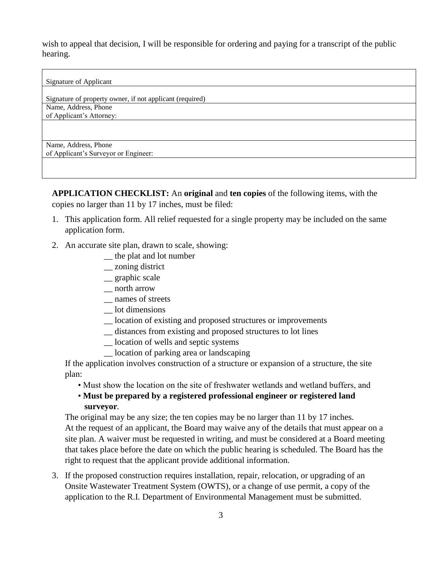wish to appeal that decision, I will be responsible for ordering and paying for a transcript of the public hearing.

Signature of Applicant

Signature of property owner, if not applicant (required) Name, Address, Phone of Applicant's Attorney:

Name, Address, Phone

of Applicant's Surveyor or Engineer:

**APPLICATION CHECKLIST:** An **original** and **ten copies** of the following items, with the copies no larger than 11 by 17 inches, must be filed:

- 1. This application form. All relief requested for a single property may be included on the same application form.
- 2. An accurate site plan, drawn to scale, showing:
	- \_\_ the plat and lot number
	- \_\_ zoning district
	- \_\_ graphic scale
	- \_\_ north arrow
	- \_\_ names of streets
	- \_\_ lot dimensions
	- \_\_ location of existing and proposed structures or improvements
	- \_\_ distances from existing and proposed structures to lot lines
	- \_\_ location of wells and septic systems
	- \_\_ location of parking area or landscaping

If the application involves construction of a structure or expansion of a structure, the site plan:

- Must show the location on the site of freshwater wetlands and wetland buffers, and
- **Must be prepared by a registered professional engineer or registered land surveyor***.*

The original may be any size; the ten copies may be no larger than 11 by 17 inches. At the request of an applicant, the Board may waive any of the details that must appear on a site plan. A waiver must be requested in writing, and must be considered at a Board meeting that takes place before the date on which the public hearing is scheduled. The Board has the right to request that the applicant provide additional information.

3. If the proposed construction requires installation, repair, relocation, or upgrading of an Onsite Wastewater Treatment System (OWTS), or a change of use permit, a copy of the application to the R.I. Department of Environmental Management must be submitted.